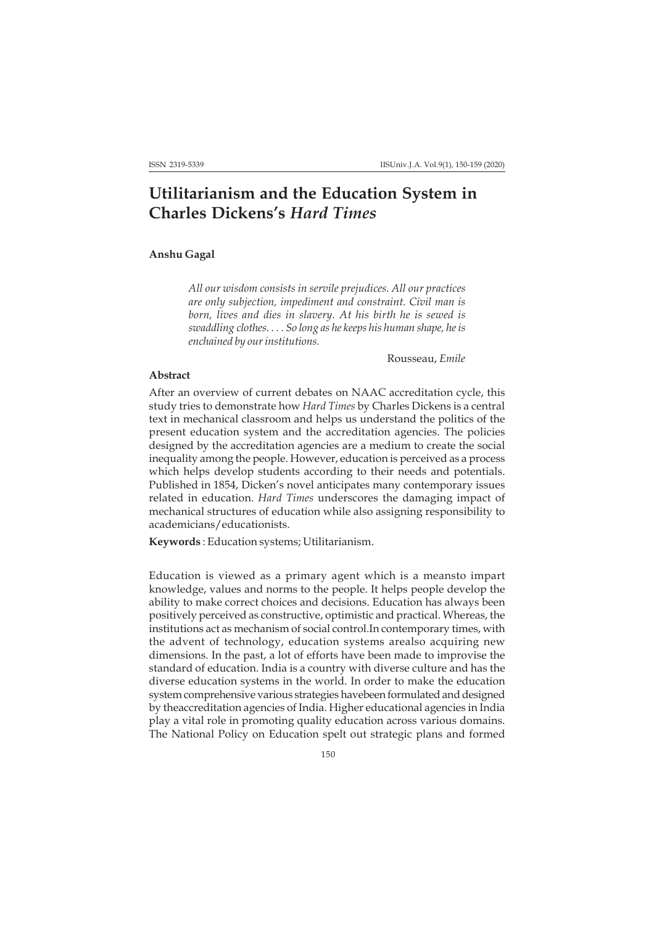## **Utilitarianism and the Education System in Charles Dickens's** *Hard Times*

## **Anshu Gagal**

*All our wisdom consists in servile prejudices. All our practices are only subjection, impediment and constraint. Civil man is born, lives and dies in slavery. At his birth he is sewed is swaddling clothes. . . . So long as he keeps his human shape, he is enchained by our institutions.*

Rousseau, *Emile*

## **Abstract**

After an overview of current debates on NAAC accreditation cycle, this study tries to demonstrate how *Hard Times* by Charles Dickens is a central text in mechanical classroom and helps us understand the politics of the present education system and the accreditation agencies. The policies designed by the accreditation agencies are a medium to create the social inequality among the people. However, education is perceived as a process which helps develop students according to their needs and potentials. Published in 1854, Dicken's novel anticipates many contemporary issues related in education. *Hard Times* underscores the damaging impact of mechanical structures of education while also assigning responsibility to academicians/educationists.

**Keywords** : Education systems; Utilitarianism.

Education is viewed as a primary agent which is a meansto impart knowledge, values and norms to the people. It helps people develop the ability to make correct choices and decisions. Education has always been positively perceived as constructive, optimistic and practical. Whereas, the institutions act as mechanism of social control.In contemporary times, with the advent of technology, education systems arealso acquiring new dimensions. In the past, a lot of efforts have been made to improvise the standard of education. India is a country with diverse culture and has the diverse education systems in the world. In order to make the education system comprehensive various strategies havebeen formulated and designed by theaccreditation agencies of India. Higher educational agencies in India play a vital role in promoting quality education across various domains. The National Policy on Education spelt out strategic plans and formed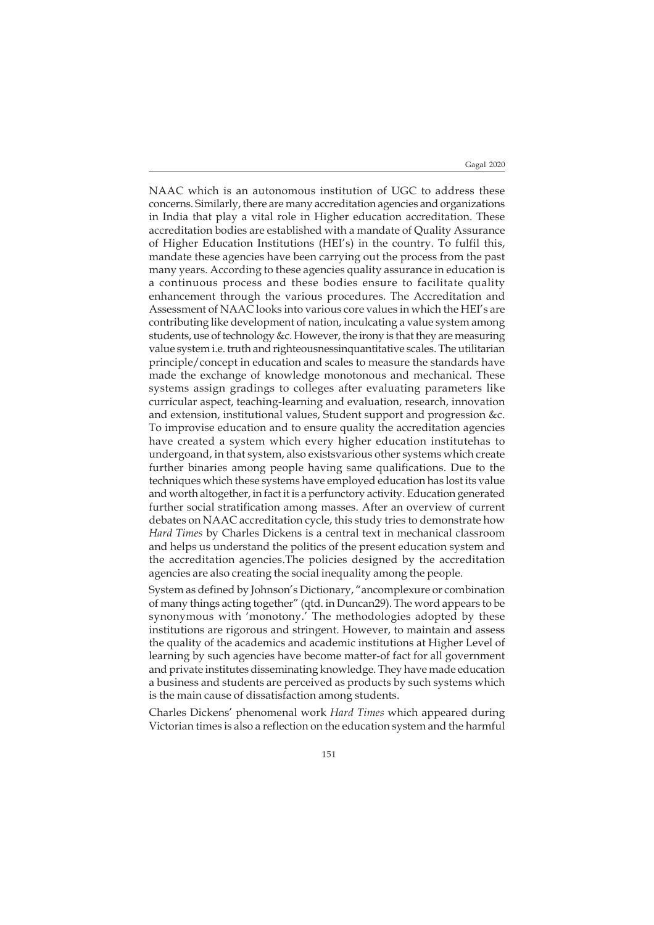Gagal 2020

NAAC which is an autonomous institution of UGC to address these concerns. Similarly, there are many accreditation agencies and organizations in India that play a vital role in Higher education accreditation. These accreditation bodies are established with a mandate of Quality Assurance of Higher Education Institutions (HEI's) in the country. To fulfil this, mandate these agencies have been carrying out the process from the past many years. According to these agencies quality assurance in education is a continuous process and these bodies ensure to facilitate quality enhancement through the various procedures. The Accreditation and Assessment of NAAC looks into various core values in which the HEI's are contributing like development of nation, inculcating a value system among students, use of technology &c. However, the irony is that they are measuring value system i.e. truth and righteousnessinquantitative scales. The utilitarian principle/concept in education and scales to measure the standards have made the exchange of knowledge monotonous and mechanical. These systems assign gradings to colleges after evaluating parameters like curricular aspect, teaching-learning and evaluation, research, innovation and extension, institutional values, Student support and progression &c. To improvise education and to ensure quality the accreditation agencies have created a system which every higher education institutehas to undergoand, in that system, also existsvarious other systems which create further binaries among people having same qualifications. Due to the techniques which these systems have employed education has lost its value and worth altogether, in fact it is a perfunctory activity. Education generated further social stratification among masses. After an overview of current debates on NAAC accreditation cycle, this study tries to demonstrate how *Hard Times* by Charles Dickens is a central text in mechanical classroom and helps us understand the politics of the present education system and the accreditation agencies.The policies designed by the accreditation agencies are also creating the social inequality among the people.

System as defined by Johnson's Dictionary, "ancomplexure or combination of many things acting together" (qtd. in Duncan29). The word appears to be synonymous with 'monotony.' The methodologies adopted by these institutions are rigorous and stringent. However, to maintain and assess the quality of the academics and academic institutions at Higher Level of learning by such agencies have become matter-of fact for all government and private institutes disseminating knowledge. They have made education a business and students are perceived as products by such systems which is the main cause of dissatisfaction among students.

Charles Dickens' phenomenal work *Hard Times* which appeared during Victorian times is also a reflection on the education system and the harmful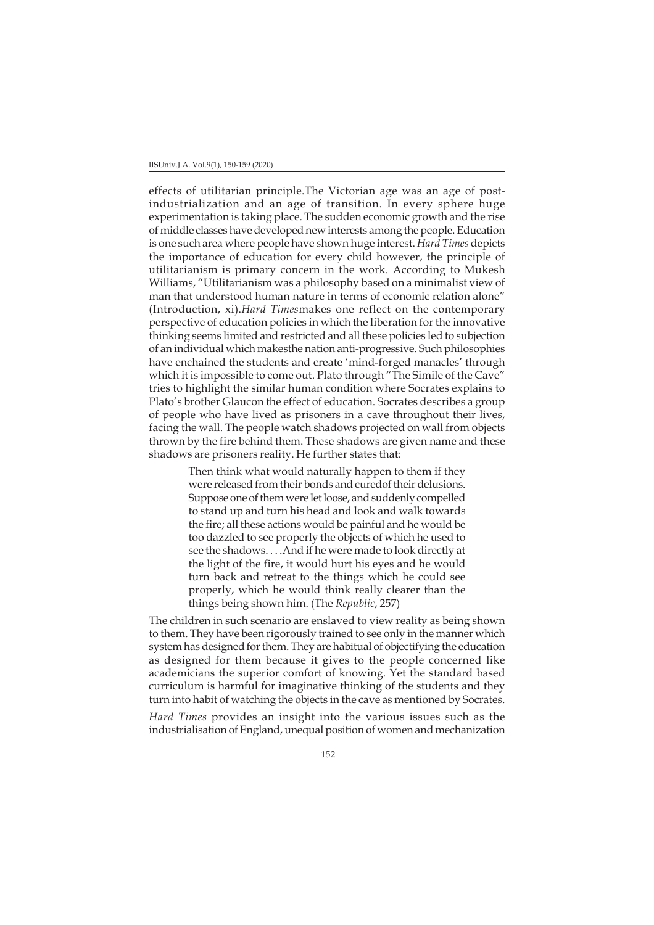effects of utilitarian principle.The Victorian age was an age of postindustrialization and an age of transition. In every sphere huge experimentation is taking place. The sudden economic growth and the rise of middle classes have developed new interests among the people. Education is one such area where people have shown huge interest. *Hard Times* depicts the importance of education for every child however, the principle of utilitarianism is primary concern in the work. According to Mukesh Williams, "Utilitarianism was a philosophy based on a minimalist view of man that understood human nature in terms of economic relation alone" (Introduction, xi).*Hard Times*makes one reflect on the contemporary perspective of education policies in which the liberation for the innovative thinking seems limited and restricted and all these policies led to subjection of an individual which makesthe nation anti-progressive. Such philosophies have enchained the students and create 'mind-forged manacles' through which it is impossible to come out. Plato through "The Simile of the Cave" tries to highlight the similar human condition where Socrates explains to Plato's brother Glaucon the effect of education. Socrates describes a group of people who have lived as prisoners in a cave throughout their lives, facing the wall. The people watch shadows projected on wall from objects thrown by the fire behind them. These shadows are given name and these shadows are prisoners reality. He further states that:

> Then think what would naturally happen to them if they were released from their bonds and curedof their delusions. Suppose one of them were let loose, and suddenly compelled to stand up and turn his head and look and walk towards the fire; all these actions would be painful and he would be too dazzled to see properly the objects of which he used to see the shadows. . . .And if he were made to look directly at the light of the fire, it would hurt his eyes and he would turn back and retreat to the things which he could see properly, which he would think really clearer than the things being shown him. (The *Republic*, 257)

The children in such scenario are enslaved to view reality as being shown to them. They have been rigorously trained to see only in the manner which system has designed for them. They are habitual of objectifying the education as designed for them because it gives to the people concerned like academicians the superior comfort of knowing. Yet the standard based curriculum is harmful for imaginative thinking of the students and they turn into habit of watching the objects in the cave as mentioned by Socrates.

*Hard Times* provides an insight into the various issues such as the industrialisation of England, unequal position of women and mechanization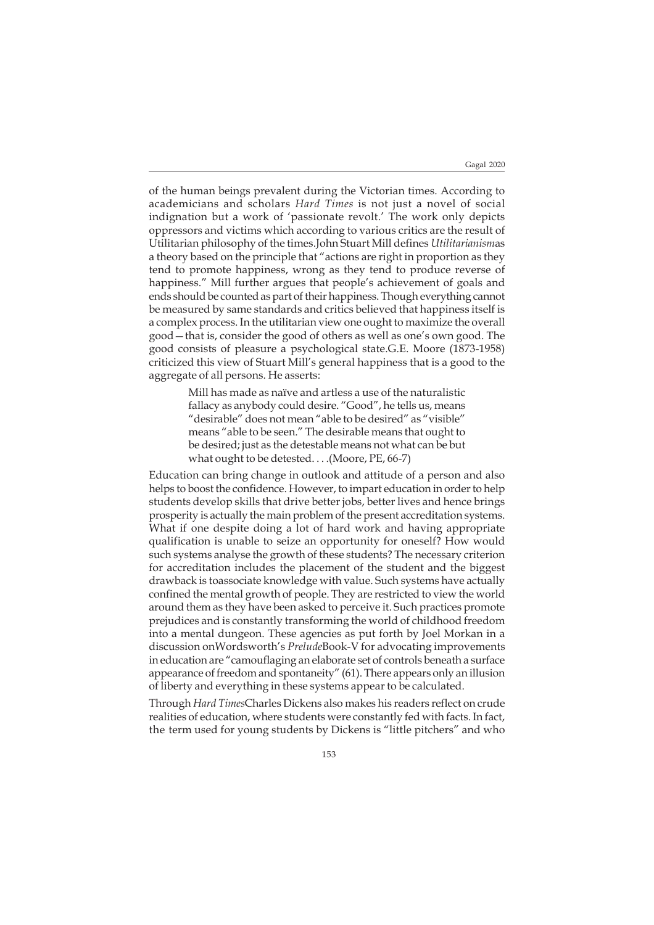of the human beings prevalent during the Victorian times. According to academicians and scholars *Hard Times* is not just a novel of social indignation but a work of 'passionate revolt.' The work only depicts oppressors and victims which according to various critics are the result of Utilitarian philosophy of the times.John Stuart Mill defines *Utilitarianism*as a theory based on the principle that "actions are right in proportion as they tend to promote happiness, wrong as they tend to produce reverse of happiness." Mill further argues that people's achievement of goals and ends should be counted as part of their happiness. Though everything cannot be measured by same standards and critics believed that happiness itself is a complex process. In the utilitarian view one ought to maximize the overall good—that is, consider the good of others as well as one's own good. The good consists of pleasure a psychological state.G.E. Moore (1873-1958) criticized this view of Stuart Mill's general happiness that is a good to the aggregate of all persons. He asserts:

> Mill has made as naïve and artless a use of the naturalistic fallacy as anybody could desire. "Good", he tells us, means "desirable" does not mean "able to be desired" as "visible" means "able to be seen." The desirable means that ought to be desired; just as the detestable means not what can be but what ought to be detested. . . .(Moore, PE, 66-7)

Education can bring change in outlook and attitude of a person and also helps to boost the confidence. However, to impart education in order to help students develop skills that drive better jobs, better lives and hence brings prosperity is actually the main problem of the present accreditation systems. What if one despite doing a lot of hard work and having appropriate qualification is unable to seize an opportunity for oneself? How would such systems analyse the growth of these students? The necessary criterion for accreditation includes the placement of the student and the biggest drawback is toassociate knowledge with value. Such systems have actually confined the mental growth of people. They are restricted to view the world around them as they have been asked to perceive it. Such practices promote prejudices and is constantly transforming the world of childhood freedom into a mental dungeon. These agencies as put forth by Joel Morkan in a discussion onWordsworth's *Prelude*Book-V for advocating improvements in education are "camouflaging an elaborate set of controls beneath a surface appearance of freedom and spontaneity" (61). There appears only an illusion of liberty and everything in these systems appear to be calculated.

Through *Hard Times*Charles Dickens also makes his readers reflect on crude realities of education, where students were constantly fed with facts. In fact, the term used for young students by Dickens is "little pitchers" and who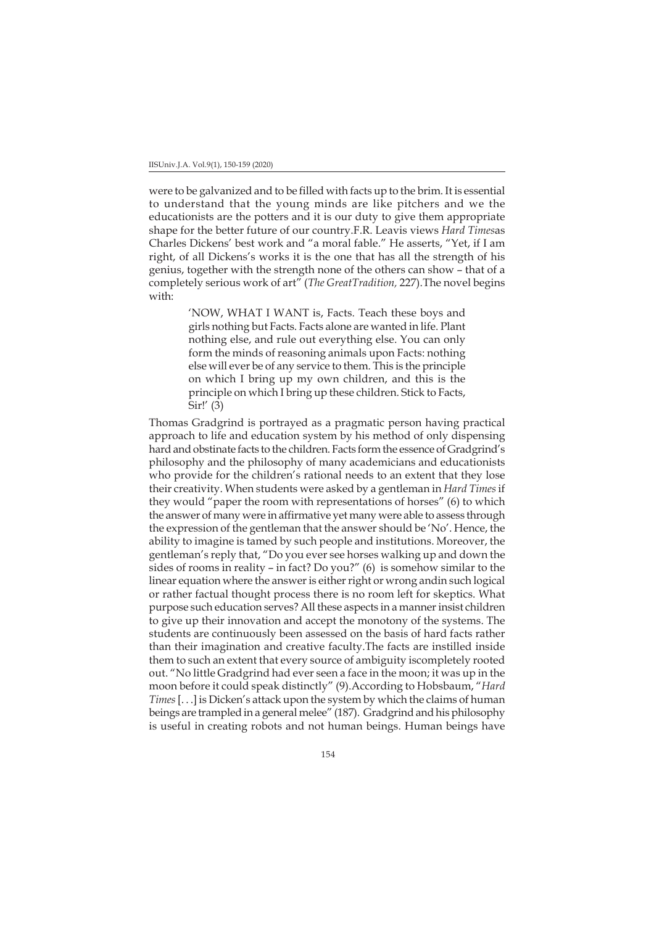were to be galvanized and to be filled with facts up to the brim. It is essential to understand that the young minds are like pitchers and we the educationists are the potters and it is our duty to give them appropriate shape for the better future of our country.F.R. Leavis views *Hard Times*as Charles Dickens' best work and "a moral fable." He asserts, "Yet, if I am right, of all Dickens's works it is the one that has all the strength of his genius, together with the strength none of the others can show – that of a completely serious work of art" (*The GreatTradition,* 227).The novel begins with:

> 'NOW, WHAT I WANT is, Facts. Teach these boys and girls nothing but Facts. Facts alone are wanted in life. Plant nothing else, and rule out everything else. You can only form the minds of reasoning animals upon Facts: nothing else will ever be of any service to them. This is the principle on which I bring up my own children, and this is the principle on which I bring up these children. Stick to Facts, Sir!' (3)

Thomas Gradgrind is portrayed as a pragmatic person having practical approach to life and education system by his method of only dispensing hard and obstinate facts to the children. Facts form the essence of Gradgrind's philosophy and the philosophy of many academicians and educationists who provide for the children's rational needs to an extent that they lose their creativity. When students were asked by a gentleman in *Hard Times* if they would "paper the room with representations of horses" (6) to which the answer of many were in affirmative yet many were able to assess through the expression of the gentleman that the answer should be 'No'. Hence, the ability to imagine is tamed by such people and institutions. Moreover, the gentleman's reply that, "Do you ever see horses walking up and down the sides of rooms in reality – in fact? Do you?" (6) is somehow similar to the linear equation where the answer is either right or wrong andin such logical or rather factual thought process there is no room left for skeptics. What purpose such education serves? All these aspects in a manner insist children to give up their innovation and accept the monotony of the systems. The students are continuously been assessed on the basis of hard facts rather than their imagination and creative faculty.The facts are instilled inside them to such an extent that every source of ambiguity iscompletely rooted out. "No little Gradgrind had ever seen a face in the moon; it was up in the moon before it could speak distinctly" (9).According to Hobsbaum, "*Hard Times* [. . .] is Dicken's attack upon the system by which the claims of human beings are trampled in a general melee" (187). Gradgrind and his philosophy is useful in creating robots and not human beings. Human beings have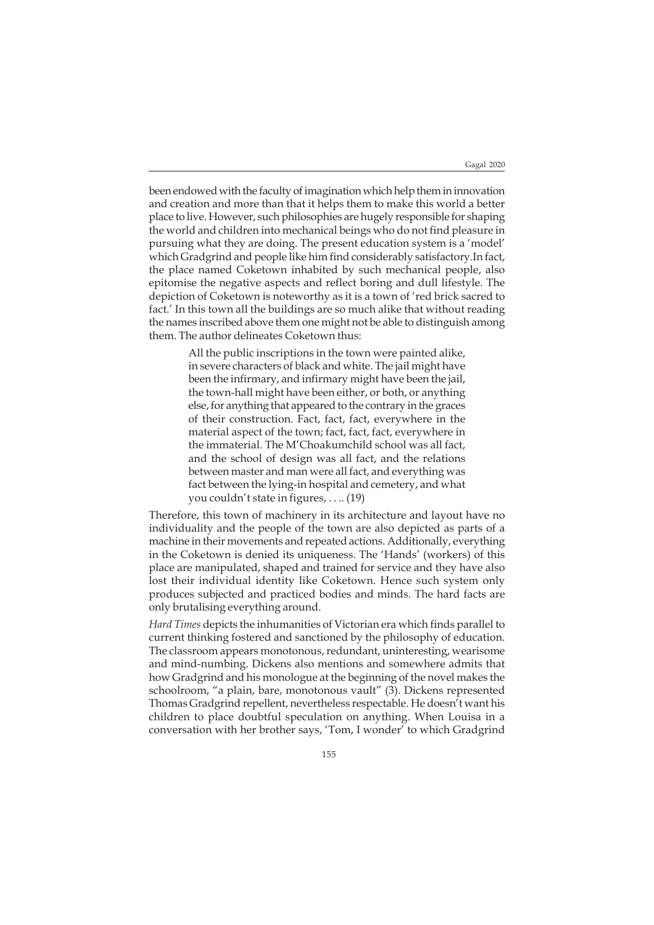been endowed with the faculty of imagination which help them in innovation and creation and more than that it helps them to make this world a better place to live. However, such philosophies are hugely responsible for shaping the world and children into mechanical beings who do not find pleasure in pursuing what they are doing. The present education system is a 'model' which Gradgrind and people like him find considerably satisfactory.In fact, the place named Coketown inhabited by such mechanical people, also epitomise the negative aspects and reflect boring and dull lifestyle. The depiction of Coketown is noteworthy as it is a town of 'red brick sacred to fact.' In this town all the buildings are so much alike that without reading the names inscribed above them one might not be able to distinguish among them. The author delineates Coketown thus:

> All the public inscriptions in the town were painted alike, in severe characters of black and white. The jail might have been the infirmary, and infirmary might have been the jail, the town-hall might have been either, or both, or anything else, for anything that appeared to the contrary in the graces of their construction. Fact, fact, fact, everywhere in the material aspect of the town; fact, fact, fact, everywhere in the immaterial. The M'Choakumchild school was all fact, and the school of design was all fact, and the relations between master and man were all fact, and everything was fact between the lying-in hospital and cemetery, and what you couldn't state in figures, . . .. (19)

Therefore, this town of machinery in its architecture and layout have no individuality and the people of the town are also depicted as parts of a machine in their movements and repeated actions. Additionally, everything in the Coketown is denied its uniqueness. The 'Hands' (workers) of this place are manipulated, shaped and trained for service and they have also lost their individual identity like Coketown. Hence such system only produces subjected and practiced bodies and minds. The hard facts are only brutalising everything around.

*Hard Times* depicts the inhumanities of Victorian era which finds parallel to current thinking fostered and sanctioned by the philosophy of education. The classroom appears monotonous, redundant, uninteresting, wearisome and mind-numbing. Dickens also mentions and somewhere admits that how Gradgrind and his monologue at the beginning of the novel makes the schoolroom, "a plain, bare, monotonous vault" (3). Dickens represented Thomas Gradgrind repellent, nevertheless respectable. He doesn't want his children to place doubtful speculation on anything. When Louisa in a conversation with her brother says, 'Tom, I wonder' to which Gradgrind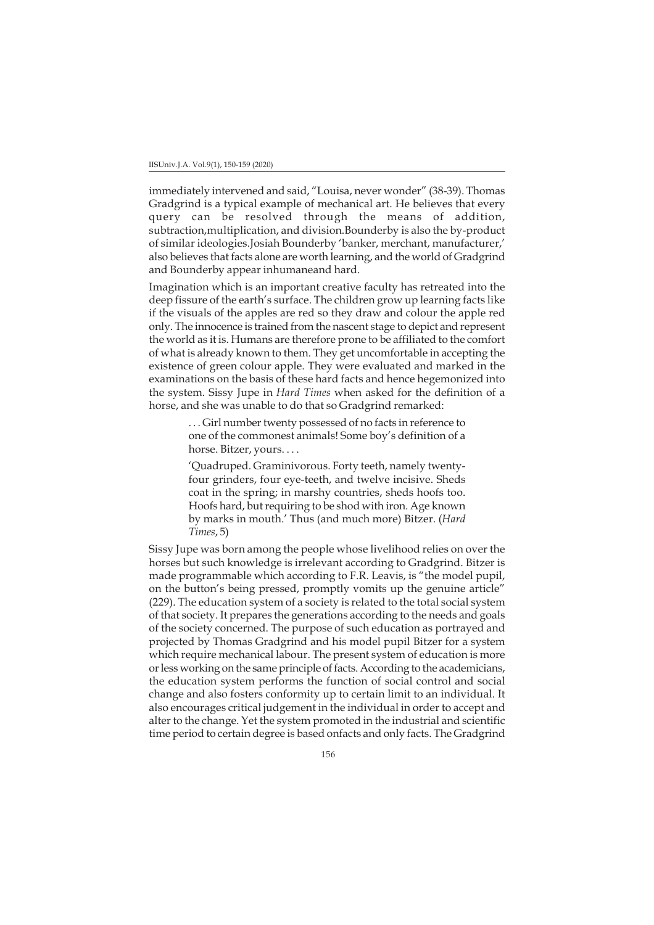immediately intervened and said, "Louisa, never wonder" (38-39). Thomas Gradgrind is a typical example of mechanical art. He believes that every query can be resolved through the means of addition, subtraction,multiplication, and division.Bounderby is also the by-product of similar ideologies.Josiah Bounderby 'banker, merchant, manufacturer,' also believes that facts alone are worth learning, and the world of Gradgrind and Bounderby appear inhumaneand hard.

Imagination which is an important creative faculty has retreated into the deep fissure of the earth's surface. The children grow up learning facts like if the visuals of the apples are red so they draw and colour the apple red only. The innocence is trained from the nascent stage to depict and represent the world as it is. Humans are therefore prone to be affiliated to the comfort of what is already known to them. They get uncomfortable in accepting the existence of green colour apple. They were evaluated and marked in the examinations on the basis of these hard facts and hence hegemonized into the system. Sissy Jupe in *Hard Times* when asked for the definition of a horse, and she was unable to do that so Gradgrind remarked:

> . . . Girl number twenty possessed of no facts in reference to one of the commonest animals! Some boy's definition of a horse. Bitzer, yours. . . .

> 'Quadruped. Graminivorous. Forty teeth, namely twentyfour grinders, four eye-teeth, and twelve incisive. Sheds coat in the spring; in marshy countries, sheds hoofs too. Hoofs hard, but requiring to be shod with iron. Age known by marks in mouth.' Thus (and much more) Bitzer. (*Hard Times*, 5)

Sissy Jupe was born among the people whose livelihood relies on over the horses but such knowledge is irrelevant according to Gradgrind. Bitzer is made programmable which according to F.R. Leavis, is "the model pupil, on the button's being pressed, promptly vomits up the genuine article" (229). The education system of a society is related to the total social system of that society. It prepares the generations according to the needs and goals of the society concerned. The purpose of such education as portrayed and projected by Thomas Gradgrind and his model pupil Bitzer for a system which require mechanical labour. The present system of education is more or less working on the same principle of facts. According to the academicians, the education system performs the function of social control and social change and also fosters conformity up to certain limit to an individual. It also encourages critical judgement in the individual in order to accept and alter to the change. Yet the system promoted in the industrial and scientific time period to certain degree is based onfacts and only facts. The Gradgrind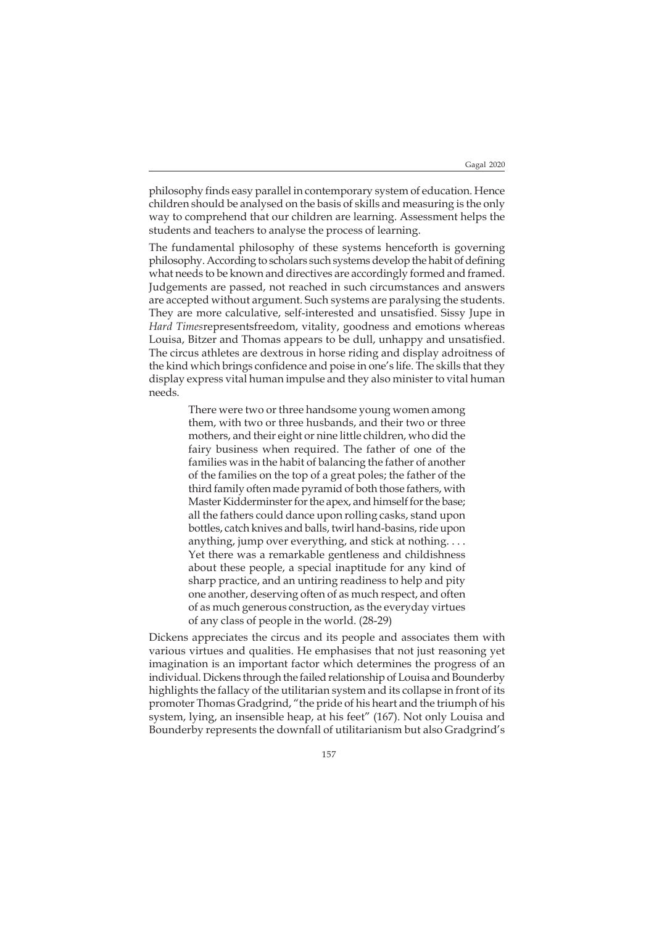philosophy finds easy parallel in contemporary system of education. Hence children should be analysed on the basis of skills and measuring is the only way to comprehend that our children are learning. Assessment helps the students and teachers to analyse the process of learning.

The fundamental philosophy of these systems henceforth is governing philosophy. According to scholars such systems develop the habit of defining what needs to be known and directives are accordingly formed and framed. Judgements are passed, not reached in such circumstances and answers are accepted without argument. Such systems are paralysing the students. They are more calculative, self-interested and unsatisfied. Sissy Jupe in *Hard Times*representsfreedom, vitality, goodness and emotions whereas Louisa, Bitzer and Thomas appears to be dull, unhappy and unsatisfied. The circus athletes are dextrous in horse riding and display adroitness of the kind which brings confidence and poise in one's life. The skills that they display express vital human impulse and they also minister to vital human needs.

> There were two or three handsome young women among them, with two or three husbands, and their two or three mothers, and their eight or nine little children, who did the fairy business when required. The father of one of the families was in the habit of balancing the father of another of the families on the top of a great poles; the father of the third family often made pyramid of both those fathers, with Master Kidderminster for the apex, and himself for the base; all the fathers could dance upon rolling casks, stand upon bottles, catch knives and balls, twirl hand-basins, ride upon anything, jump over everything, and stick at nothing. . . . Yet there was a remarkable gentleness and childishness about these people, a special inaptitude for any kind of sharp practice, and an untiring readiness to help and pity one another, deserving often of as much respect, and often of as much generous construction, as the everyday virtues of any class of people in the world. (28-29)

Dickens appreciates the circus and its people and associates them with various virtues and qualities. He emphasises that not just reasoning yet imagination is an important factor which determines the progress of an individual. Dickens through the failed relationship of Louisa and Bounderby highlights the fallacy of the utilitarian system and its collapse in front of its promoter Thomas Gradgrind, "the pride of his heart and the triumph of his system, lying, an insensible heap, at his feet" (167). Not only Louisa and Bounderby represents the downfall of utilitarianism but also Gradgrind's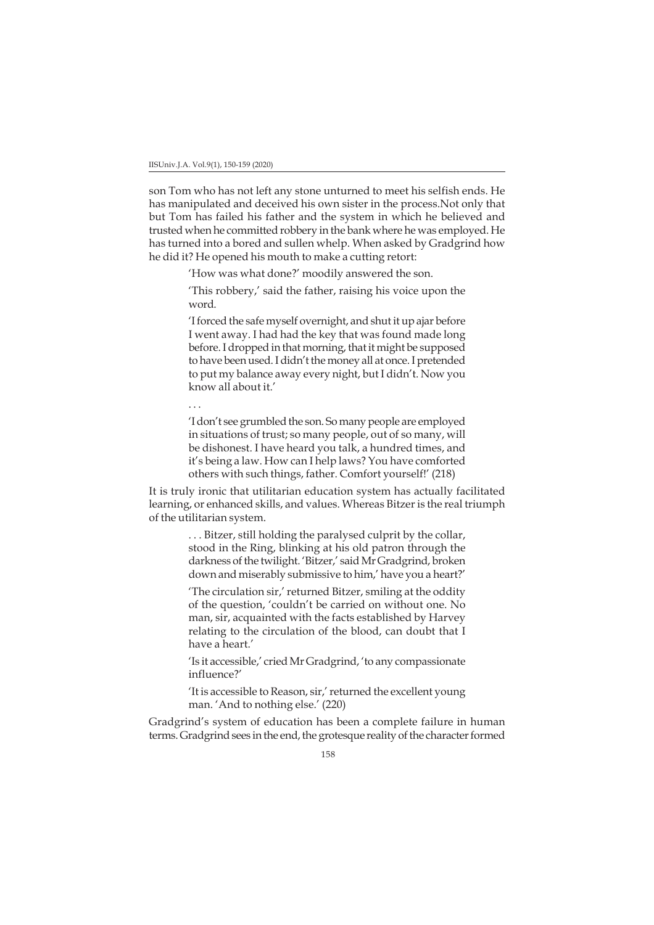son Tom who has not left any stone unturned to meet his selfish ends. He has manipulated and deceived his own sister in the process.Not only that but Tom has failed his father and the system in which he believed and trusted when he committed robbery in the bank where he was employed. He has turned into a bored and sullen whelp. When asked by Gradgrind how he did it? He opened his mouth to make a cutting retort:

'How was what done?' moodily answered the son.

'This robbery,' said the father, raising his voice upon the word.

'I forced the safe myself overnight, and shut it up ajar before I went away. I had had the key that was found made long before. I dropped in that morning, that it might be supposed to have been used. I didn't the money all at once. I pretended to put my balance away every night, but I didn't. Now you know all about it.'

. . .

'I don't see grumbled the son. So many people are employed in situations of trust; so many people, out of so many, will be dishonest. I have heard you talk, a hundred times, and it's being a law. How can I help laws? You have comforted others with such things, father. Comfort yourself!' (218)

It is truly ironic that utilitarian education system has actually facilitated learning, or enhanced skills, and values. Whereas Bitzer is the real triumph of the utilitarian system.

> . . . Bitzer, still holding the paralysed culprit by the collar, stood in the Ring, blinking at his old patron through the darkness of the twilight. 'Bitzer,' said Mr Gradgrind, broken down and miserably submissive to him,' have you a heart?'

> 'The circulation sir,' returned Bitzer, smiling at the oddity of the question, 'couldn't be carried on without one. No man, sir, acquainted with the facts established by Harvey relating to the circulation of the blood, can doubt that I have a heart.'

> 'Is it accessible,' cried Mr Gradgrind, 'to any compassionate influence?'

> 'It is accessible to Reason, sir,' returned the excellent young man. 'And to nothing else.' (220)

Gradgrind's system of education has been a complete failure in human terms. Gradgrind sees in the end, the grotesque reality of the character formed